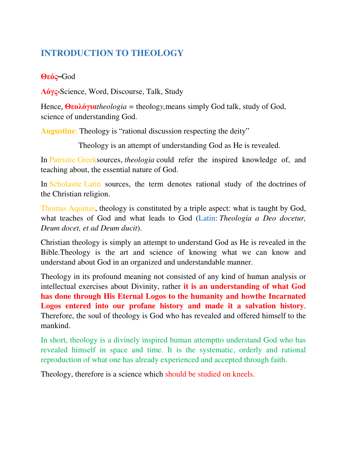# **INTRODUCTION TO THEOLOGY**

## **Θεός–**God

**Λόγς-**Science, Word, Discourse, Talk, Study

Hence, **Θεολόγια***theologia =* theolog*y,*means simply God talk, study of God, science of understanding God.

**Augustine**: Theology is "rational discussion respecting the deity"

Theology is an attempt of understanding God as He is revealed.

In Patristic Greeksources, *theologia* could refer the inspired knowledge of, and teaching about, the essential nature of God.

In Scholastic Latin sources, the term denotes rational study of the doctrines of the Christian religion.

Thomas Aquinas, theology is constituted by a triple aspect: what is taught by God, what teaches of God and what leads to God (Latin: *Theologia a Deo docetur, Deum docet, et ad Deum ducit*).

Christian theology is simply an attempt to understand God as He is revealed in the Bible.Theology is the art and science of knowing what we can know and understand about God in an organized and understandable manner.

Theology in its profound meaning not consisted of any kind of human analysis or intellectual exercises about Divinity, rather **it is an understanding of what God has done through His Eternal Logos to the humanity and howthe Incarnated Logos entered into our profane history and made it a salvation history**. Therefore, the soul of theology is God who has revealed and offered himself to the mankind.

In short, theology is a divinely inspired human attemptto understand God who has revealed himself in space and time. It is the systematic, orderly and rational reproduction of what one has already experienced and accepted through faith.

Theology, therefore is a science which should be studied on kneels.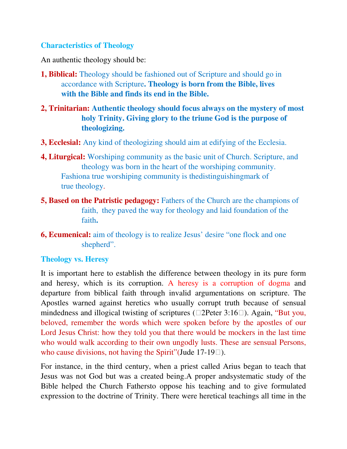### **Characteristics of Theology**

An authentic theology should be:

- **1, Biblical:** Theology should be fashioned out of Scripture and should go in accordance with Scripture**. Theology is born from the Bible, lives with the Bible and finds its end in the Bible.**
- **2, Trinitarian: Authentic theology should focus always on the mystery of most holy Trinity. Giving glory to the triune God is the purpose of theologizing.**
- **3, Ecclesial:** Any kind of theologizing should aim at edifying of the Ecclesia.
- **4, Liturgical:** Worshiping community as the basic unit of Church. Scripture, and theology was born in the heart of the worshiping community. Fashiona true worshiping community is thedistinguishingmark of true theology.
- **5, Based on the Patristic pedagogy:** Fathers of the Church are the champions of faith, they paved the way for theology and laid foundation of the faith**.**
- **6, Ecumenical:** aim of theology is to realize Jesus' desire "one flock and one shepherd".

## **Theology vs. Heresy**

It is important here to establish the difference between theology in its pure form and heresy, which is its corruption. A heresy is a corruption of dogma and departure from biblical faith through invalid argumentations on scripture. The Apostles warned against heretics who usually corrupt truth because of sensual mindedness and illogical twisting of scriptures (2Peter 3:16). Again, "But you, beloved, remember the words which were spoken before by the apostles of our Lord Jesus Christ: how they told you that there would be mockers in the last time who would walk according to their own ungodly lusts. These are sensual Persons, who cause divisions, not having the Spirit" (Jude 17-19).

For instance, in the third century, when a priest called Arius began to teach that Jesus was not God but was a created being.A proper andsystematic study of the Bible helped the Church Fathersto oppose his teaching and to give formulated expression to the doctrine of Trinity. There were heretical teachings all time in the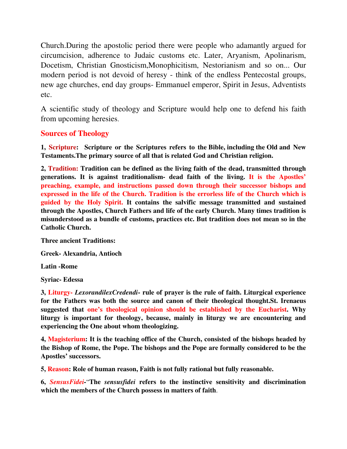Church.During the apostolic period there were people who adamantly argued for circumcision, adherence to Judaic customs etc. Later, Aryanism, Apolinarism, Docetism, Christian Gnosticism,Monophicitism, Nestorianism and so on... Our modern period is not devoid of heresy - think of the endless Pentecostal groups, new age churches, end day groups- Emmanuel emperor, Spirit in Jesus, Adventists etc.

A scientific study of theology and Scripture would help one to defend his faith from upcoming heresies.

### **Sources of Theology**

**1, Scripture: Scripture or the Scriptures refers to the Bible, including the Old and New Testaments.The primary source of all that is related God and Christian religion.** 

**2, Tradition: Tradition can be defined as the living faith of the dead, transmitted through generations. It is against traditionalism- dead faith of the living. It is the Apostles' preaching, example, and instructions passed down through their successor bishops and expressed in the life of the Church. Tradition is the errorless life of the Church which is guided by the Holy Spirit. It contains the salvific message transmitted and sustained through the Apostles, Church Fathers and life of the early Church. Many times tradition is misunderstood as a bundle of customs, practices etc. But tradition does not mean so in the Catholic Church.** 

**Three ancient Traditions:** 

**Greek- Alexandria, Antioch** 

**Latin -Rome** 

**Syriac- Edessa** 

**3, Liturgy-** *LexorandilexCredendi***- rule of prayer is the rule of faith. Liturgical experience for the Fathers was both the source and canon of their theological thought.St. Irenaeus suggested that one's theological opinion should be established by the Eucharist. Why liturgy is important for theology, because, mainly in liturgy we are encountering and experiencing the One about whom theologizing.** 

**4, Magisterium: It is the teaching office of the Church, consisted of the bishops headed by the Bishop of Rome, the Pope. The bishops and the Pope are formally considered to be the Apostles' successors.** 

**5, Reason: Role of human reason, Faith is not fully rational but fully reasonable.** 

**6,** *SensusFidei-*"**The** *sensusfidei* **refers to the instinctive sensitivity and discrimination which the members of the Church possess in matters of faith**.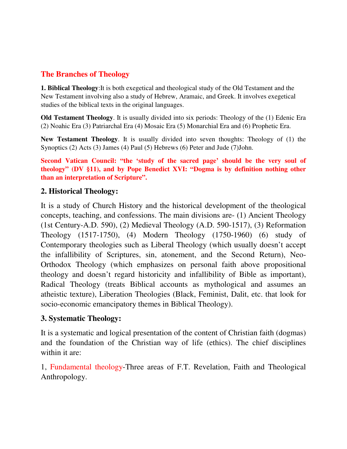## **The Branches of Theology**

**1. Biblical Theology**:It is both exegetical and theological study of the Old Testament and the New Testament involving also a study of Hebrew, Aramaic, and Greek. It involves exegetical studies of the biblical texts in the original languages.

**Old Testament Theology**. It is usually divided into six periods: Theology of the (1) Edenic Era (2) Noahic Era (3) Patriarchal Era (4) Mosaic Era (5) Monarchial Era and (6) Prophetic Era.

**New Testament Theology**. It is usually divided into seven thoughts: Theology of (1) the Synoptics (2) Acts (3) James (4) Paul (5) Hebrews (6) Peter and Jude (7)John.

**Second Vatican Council: "the 'study of the sacred page' should be the very soul of theology" (DV §11), and by Pope Benedict XVI: "Dogma is by definition nothing other than an interpretation of Scripture".**

### **2. Historical Theology:**

It is a study of Church History and the historical development of the theological concepts, teaching, and confessions. The main divisions are- (1) Ancient Theology (1st Century-A.D. 590), (2) Medieval Theology (A.D. 590-1517), (3) Reformation Theology (1517-1750), (4) Modern Theology (1750-1960) (6) study of Contemporary theologies such as Liberal Theology (which usually doesn't accept the infallibility of Scriptures, sin, atonement, and the Second Return), Neo-Orthodox Theology (which emphasizes on personal faith above propositional theology and doesn't regard historicity and infallibility of Bible as important), Radical Theology (treats Biblical accounts as mythological and assumes an atheistic texture), Liberation Theologies (Black, Feminist, Dalit, etc. that look for socio-economic emancipatory themes in Biblical Theology).

### **3. Systematic Theology:**

It is a systematic and logical presentation of the content of Christian faith (dogmas) and the foundation of the Christian way of life (ethics). The chief disciplines within it are:

1, Fundamental theology-Three areas of F.T. Revelation, Faith and Theological Anthropology.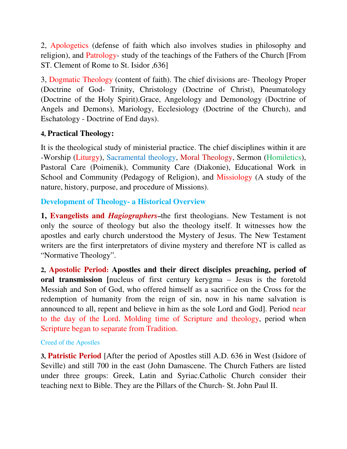2, Apologetics (defense of faith which also involves studies in philosophy and religion), and Patrology- study of the teachings of the Fathers of the Church [From ST. Clement of Rome to St. Isidor ,636]

3, Dogmatic Theology (content of faith). The chief divisions are- Theology Proper (Doctrine of God- Trinity, Christology (Doctrine of Christ), Pneumatology (Doctrine of the Holy Spirit).Grace, Angelology and Demonology (Doctrine of Angels and Demons), Mariology, Ecclesiology (Doctrine of the Church), and Eschatology - Doctrine of End days).

## **4, Practical Theology:**

It is the theological study of ministerial practice. The chief disciplines within it are -Worship (Liturgy), Sacramental theology, Moral Theology, Sermon (Homiletics), Pastoral Care (Poimenik), Community Care (Diakonie), Educational Work in School and Community (Pedagogy of Religion), and Missiology (A study of the nature, history, purpose, and procedure of Missions).

## **Development of Theology- a Historical Overview**

**1, Evangelists and** *Hagiographers***–**the first theologians. New Testament is not only the source of theology but also the theology itself. It witnesses how the apostles and early church understood the Mystery of Jesus. The New Testament writers are the first interpretators of divine mystery and therefore NT is called as "Normative Theology".

**2, Apostolic Period: Apostles and their direct disciples preaching, period of oral transmission** [nucleus of first century kerygma – Jesus is the foretold Messiah and Son of God, who offered himself as a sacrifice on the Cross for the redemption of humanity from the reign of sin, now in his name salvation is announced to all, repent and believe in him as the sole Lord and God]. Period near to the day of the Lord. Molding time of Scripture and theology, period when Scripture began to separate from Tradition.

#### Creed of the Apostles

**3, Patristic Period** [After the period of Apostles still A.D. 636 in West (Isidore of Seville) and still 700 in the east (John Damascene. The Church Fathers are listed under three groups: Greek, Latin and Syriac.Catholic Church consider their teaching next to Bible. They are the Pillars of the Church- St. John Paul II.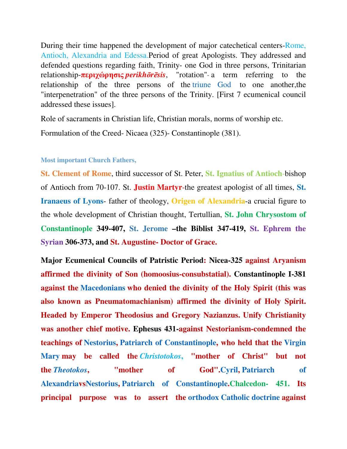During their time happened the development of major catechetical centers-Rome, Antioch, Alexandria and Edessa.Period of great Apologists. They addressed and defended questions regarding faith, Trinity- one God in three persons, Trinitarian relationship-**περιχώρησις** *perikhōrēsis*, "rotation"- a term referring to the relationship of the three persons of the triune God to one another,the "interpenetration" of the three persons of the Trinity. [First 7 ecumenical council addressed these issues].

Role of sacraments in Christian life, Christian morals, norms of worship etc.

Formulation of the Creed- Nicaea (325)- Constantinople (381).

#### **Most important Church Fathers,**

**St. Clement of Rome**, third successor of St. Peter, **St. Ignatius of Antioch**-bishop of Antioch from 70-107. St. **Justin Martyr**-the greatest apologist of all times, **St. Iranaeus of Lyons**- father of theology, **Origen of Alexandria**-a crucial figure to the whole development of Christian thought, Tertullian, **St. John Chrysostom of Constantinople 349-407, St. Jerome –the Biblist 347-419, St. Ephrem the Syrian 306-373, and St. Augustine- Doctor of Grace.** 

**Major Ecumenical Councils of Patristic Period: Nicea-325 against Aryanism affirmed the divinity of Son (homoosius-consubstatial). Constantinople I-381 against the Macedonians who denied the divinity of the Holy Spirit (this was also known as Pneumatomachianism) affirmed the divinity of Holy Spirit. Headed by Emperor Theodosius and Gregory Nazianzus. Unify Christianity was another chief motive. Ephesus 431-against Nestorianism-condemned the teachings of Nestorius, Patriarch of Constantinople, who held that the Virgin Mary may be called the** *Christotokos***, "mother of Christ" but not the** *Theotokos***, "mother of God".Cyril, Patriarch of AlexandriavsNestorius, Patriarch of Constantinople.Chalcedon- 451. Its principal purpose was to assert the orthodox Catholic doctrine against**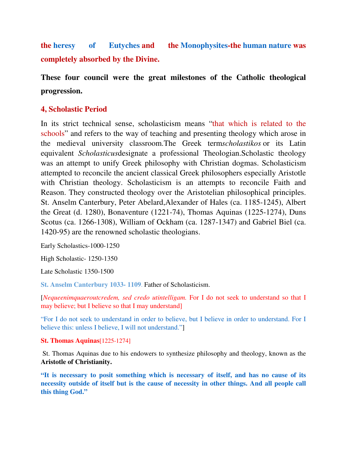**the heresy of Eutyches and the Monophysites-the human nature was completely absorbed by the Divine.** 

**These four council were the great milestones of the Catholic theological progression.** 

### **4, Scholastic Period**

In its strict technical sense, scholasticism means "that which is related to the schools" and refers to the way of teaching and presenting theology which arose in the medieval university classroom.The Greek term*scholastikos* or its Latin equivalent *Scholasticus*designate a professional Theologian.Scholastic theology was an attempt to unify Greek philosophy with Christian dogmas. Scholasticism attempted to reconcile the ancient classical Greek philosophers especially Aristotle with Christian theology. Scholasticism is an attempts to reconcile Faith and Reason. They constructed theology over the Aristotelian philosophical principles. St. Anselm Canterbury, Peter Abelard,Alexander of Hales (ca. 1185-1245), Albert the Great (d. 1280), Bonaventure (1221-74), Thomas Aquinas (1225-1274), Duns Scotus (ca. 1266-1308), William of Ockham (ca. 1287-1347) and Gabriel Biel (ca. 1420-95) are the renowned scholastic theologians.

Early Scholastics-1000-1250

High Scholastic- 1250-1350

Late Scholastic 1350-1500

**St. Anselm Canterbury 1033- 1109**. Father of Scholasticism.

[*Nequeenimquaeroutcredem, sed credo utintelligam.* For I do not seek to understand so that I may believe; but I believe so that I may understand]

"For I do not seek to understand in order to believe, but I believe in order to understand. For I believe this: unless I believe, I will not understand."]

#### **St. Thomas Aquinas**[1225-1274]

 St. Thomas Aquinas due to his endowers to synthesize philosophy and theology, known as the **Aristotle of Christianity.** 

**"It is necessary to posit something which is necessary of itself, and has no cause of its necessity outside of itself but is the cause of necessity in other things. And all people call this thing God."**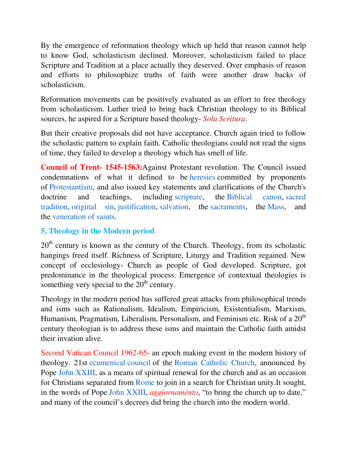By the emergence of reformation theology which up held that reason cannot help to know God, scholasticism declined. Moreover, scholasticism failed to place Scripture and Tradition at a place actually they deserved. Over emphasis of reason and efforts to philosophize truths of faith were another draw backs of scholasticism.

Reformation movements can be positively evaluated as an effort to free theology from scholasticism. Luther tried to bring back Christian theology to its Biblical sources, he aspired for a Scripture based theology- *Sola Scritura*.

But their creative proposals did not have acceptance. Church again tried to follow the scholastic pattern to explain faith. Catholic theologians could not read the signs of time, they failed to develop a theology which has smell of life.

**Council of Trent- 1545-1563:**Against Protestant revolution. The Council issued condemnations of what it defined to be heresies committed by proponents of Protestantism, and also issued key statements and clarifications of the Church's doctrine and teachings, including scripture, the Biblical canon, sacred tradition, original sin, justification, salvation, the sacraments, the Mass, and the veneration of saints.

## **5, Theology in the Modern period**

 $20<sup>th</sup>$  century is known as the century of the Church. Theology, from its scholastic hangings freed itself. Richness of Scripture, Liturgy and Tradition regained. New concept of ecclesiology- Church as people of God developed. Scripture, got predominance in the theological process. Emergence of contextual theologies is something very special to the  $20<sup>th</sup>$  century.

Theology in the modern period has suffered great attacks from philosophical trends and isms such as Rationalism, Idealism, Empiricism, Existentialism, Marxism, Humanism, Pragmatism, Liberalism, Personalism, and Feminism etc. Risk of a  $20<sup>th</sup>$ century theologian is to address these isms and maintain the Catholic faith amidst their invation alive.

Second Vatican Council 1962-65- an epoch making event in the modern history of theology. 21st ecumenical council of the Roman Catholic Church, announced by Pope John XXIII, as a means of spiritual renewal for the church and as an occasion for Christians separated from Rome to join in a search for Christian unity.It sought, in the words of Pope John XXIII, *aggiornaménto*, "to bring the church up to date," and many of the council's decrees did bring the church into the modern world.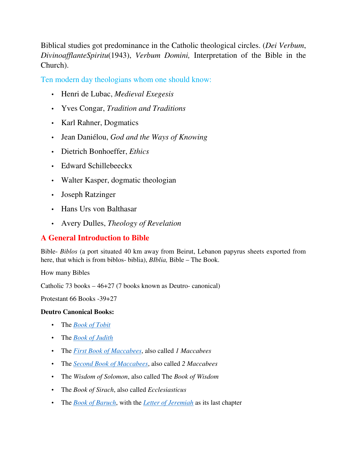Biblical studies got predominance in the Catholic theological circles. (*Dei Verbum*, *DivinoafflanteSpiritu*(1943), *Verbum Domini,* Interpretation of the Bible in the Church).

Ten modern day theologians whom one should know:

- Henri de Lubac, *Medieval Exegesis*
- Yves Congar, *Tradition and Traditions*
- Karl Rahner, Dogmatics
- Jean Daniélou, *God and the Ways of Knowing*
- Dietrich Bonhoeffer, *Ethics*
- Edward Schillebeeckx
- Walter Kasper, dogmatic theologian
- Joseph Ratzinger
- Hans Urs von Balthasar
- Avery Dulles, *Theology of Revelation*

## **A General Introduction to Bible**

Bible- *Biblos* (a port situated 40 km away from Beirut, Lebanon papyrus sheets exported from here, that which is from biblos- biblia), *BIblia,* Bible – The Book.

How many Bibles

Catholic 73 books – 46+27 (7 books known as Deutro- canonical)

Protestant 66 Books -39+27

#### **Deutro Canonical Books:**

- The *Book of Tobit*
- The *Book of Judith*
- The *First Book of Maccabees*, also called *1 Maccabees*
- The *Second Book of Maccabees*, also called *2 Maccabees*
- The *Wisdom of Solomon*, also called The *Book of Wisdom*
- The *Book of Sirach*, also called *Ecclesiasticus*
- The *Book of Baruch*, with the *Letter of Jeremiah* as its last chapter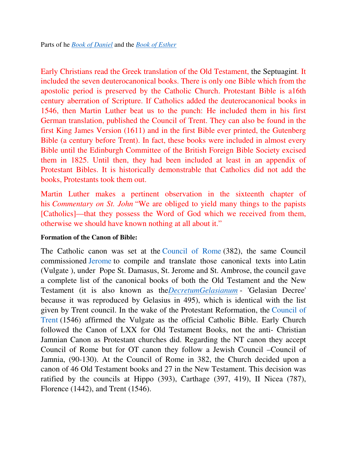Early Christians read the Greek translation of the Old Testament, the Septuagint. It included the seven deuterocanonical books. There is only one Bible which from the apostolic period is preserved by the Catholic Church. Protestant Bible is a16th century aberration of Scripture. If Catholics added the deuterocanonical books in 1546, then Martin Luther beat us to the punch: He included them in his first German translation, published the Council of Trent. They can also be found in the first King James Version (1611) and in the first Bible ever printed, the Gutenberg Bible (a century before Trent). In fact, these books were included in almost every Bible until the Edinburgh Committee of the British Foreign Bible Society excised them in 1825. Until then, they had been included at least in an appendix of Protestant Bibles. It is historically demonstrable that Catholics did not add the books, Protestants took them out.

Martin Luther makes a pertinent observation in the sixteenth chapter of his *Commentary on St. John* "We are obliged to yield many things to the papists [Catholics]—that they possess the Word of God which we received from them, otherwise we should have known nothing at all about it."

#### **Formation of the Canon of Bible:**

The Catholic canon was set at the Council of Rome (382), the same Council commissioned Jerome to compile and translate those canonical texts into Latin (Vulgate ), under Pope St. Damasus, St. Jerome and St. Ambrose, the council gave a complete list of the canonical books of both the Old Testament and the New Testament (it is also known as the*DecretumGelasianum* - 'Gelasian Decree' because it was reproduced by Gelasius in 495), which is identical with the list given by Trent council. In the wake of the Protestant Reformation, the Council of Trent (1546) affirmed the Vulgate as the official Catholic Bible. Early Church followed the Canon of LXX for Old Testament Books, not the anti- Christian Jamnian Canon as Protestant churches did. Regarding the NT canon they accept Council of Rome but for OT canon they follow a Jewish Council –Council of Jamnia, (90-130). At the Council of Rome in 382, the Church decided upon a canon of 46 Old Testament books and 27 in the New Testament. This decision was ratified by the councils at Hippo (393), Carthage (397, 419), II Nicea (787), Florence (1442), and Trent (1546).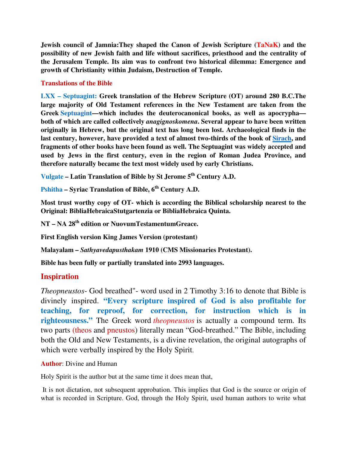**Jewish council of Jamnia: They shaped the Canon of Jewish Scripture (TaNaK) and the possibility of new Jewish faith and life without sacrifices, priesthood and the centrality of the Jerusalem Temple. Its aim was to confront two historical dilemma: Emergence and growth of Christianity within Judaism, Destruction of Temple.** 

#### **Translations of the Bible**

**LXX – Septuagint: Greek translation of the Hebrew Scripture (OT) around 280 B.C.The large majority of Old Testament references in the New Testament are taken from the Greek Septuagint—which includes the deuterocanonical books, as well as apocrypha both of which are called collectively** *anagignoskomena***. Several appear to have been written originally in Hebrew, but the original text has long been lost. Archaeological finds in the last century, however, have provided a text of almost two-thirds of the book of Sirach, and fragments of other books have been found as well. The Septuagint was widely accepted and used by Jews in the first century, even in the region of Roman Judea Province, and therefore naturally became the text most widely used by early Christians.** 

**Vulgate – Latin Translation of Bible by St Jerome 5th Century A.D.** 

**Pshitha – Syriac Translation of Bible, 6th Century A.D.** 

**Most trust worthy copy of OT- which is according the Biblical scholarship nearest to the Original: BibliaHebraicaStutgartenzia or BibliaHebraica Quinta.** 

**NT – NA 28th edition or NuovumTestamentumGreace.** 

**First English version King James Version (protestant)** 

**Malayalam –** *Sathyavedapusthakam* **1910 (CMS Missionaries Protestant).** 

**Bible has been fully or partially translated into 2993 languages.** 

### **Inspiration**

*Theopneustos*- God breathed"- word used in 2 Timothy 3:16 to denote that Bible is divinely inspired. **"Every scripture inspired of God is also profitable for teaching, for reproof, for correction, for instruction which is in righteousness."** The Greek word *theopneustos* is actually a compound term. Its two parts (theos and pneustos) literally mean "God-breathed." The Bible, including both the Old and New Testaments, is a divine revelation, the original autographs of which were verbally inspired by the Holy Spirit.

#### **Author**: Divine and Human

Holy Spirit is the author but at the same time it does mean that,

 It is not dictation, not subsequent approbation. This implies that God is the source or origin of what is recorded in Scripture. God, through the Holy Spirit, used human authors to write what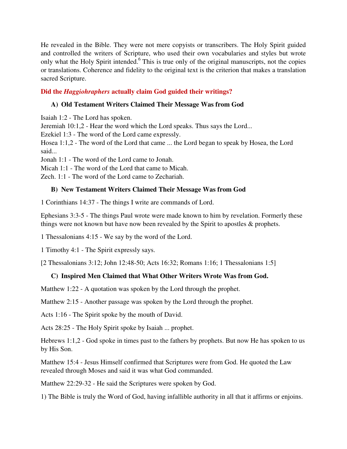He revealed in the Bible. They were not mere copyists or transcribers. The Holy Spirit guided and controlled the writers of Scripture, who used their own vocabularies and styles but wrote only what the Holy Spirit intended.<sup>6</sup> This is true only of the original manuscripts, not the copies or translations. Coherence and fidelity to the original text is the criterion that makes a translation sacred Scripture.

#### **Did the** *Haggiohraphers* **actually claim God guided their writings?**

#### **A) Old Testament Writers Claimed Their Message Was from God**

Isaiah 1:2 - The Lord has spoken.

Jeremiah 10:1,2 - Hear the word which the Lord speaks. Thus says the Lord...

Ezekiel 1:3 - The word of the Lord came expressly.

Hosea 1:1,2 - The word of the Lord that came ... the Lord began to speak by Hosea, the Lord said...

Jonah 1:1 - The word of the Lord came to Jonah.

Micah 1:1 - The word of the Lord that came to Micah.

Zech. 1:1 - The word of the Lord came to Zechariah.

#### **B) New Testament Writers Claimed Their Message Was from God**

1 Corinthians 14:37 - The things I write are commands of Lord.

Ephesians 3:3-5 - The things Paul wrote were made known to him by revelation. Formerly these things were not known but have now been revealed by the Spirit to apostles & prophets.

1 Thessalonians 4:15 - We say by the word of the Lord.

1 Timothy 4:1 - The Spirit expressly says.

[2 Thessalonians 3:12; John 12:48-50; Acts 16:32; Romans 1:16; 1 Thessalonians 1:5]

#### **C) Inspired Men Claimed that What Other Writers Wrote Was from God.**

Matthew 1:22 - A quotation was spoken by the Lord through the prophet.

Matthew 2:15 - Another passage was spoken by the Lord through the prophet.

Acts 1:16 - The Spirit spoke by the mouth of David.

Acts 28:25 - The Holy Spirit spoke by Isaiah ... prophet.

Hebrews 1:1,2 - God spoke in times past to the fathers by prophets. But now He has spoken to us by His Son.

Matthew 15:4 - Jesus Himself confirmed that Scriptures were from God. He quoted the Law revealed through Moses and said it was what God commanded.

Matthew 22:29-32 - He said the Scriptures were spoken by God.

1) The Bible is truly the Word of God, having infallible authority in all that it affirms or enjoins.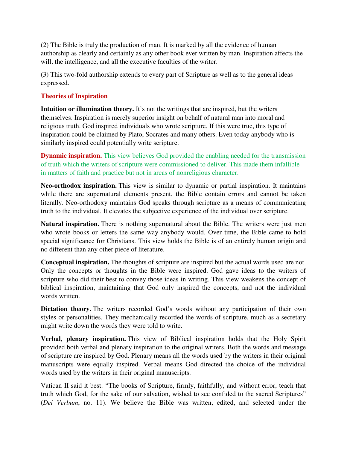(2) The Bible is truly the production of man. It is marked by all the evidence of human authorship as clearly and certainly as any other book ever written by man. Inspiration affects the will, the intelligence, and all the executive faculties of the writer.

(3) This two-fold authorship extends to every part of Scripture as well as to the general ideas expressed.

#### **Theories of Inspiration**

**Intuition or illumination theory.** It's not the writings that are inspired, but the writers themselves. Inspiration is merely superior insight on behalf of natural man into moral and religious truth. God inspired individuals who wrote scripture. If this were true, this type of inspiration could be claimed by Plato, Socrates and many others. Even today anybody who is similarly inspired could potentially write scripture.

**Dynamic inspiration.** This view believes God provided the enabling needed for the transmission of truth which the writers of scripture were commissioned to deliver. This made them infallible in matters of faith and practice but not in areas of nonreligious character.

**Neo-orthodox inspiration.** This view is similar to dynamic or partial inspiration. It maintains while there are supernatural elements present, the Bible contain errors and cannot be taken literally. Neo-orthodoxy maintains God speaks through scripture as a means of communicating truth to the individual. It elevates the subjective experience of the individual over scripture.

**Natural inspiration.** There is nothing supernatural about the Bible. The writers were just men who wrote books or letters the same way anybody would. Over time, the Bible came to hold special significance for Christians. This view holds the Bible is of an entirely human origin and no different than any other piece of literature.

**Conceptual inspiration.** The thoughts of scripture are inspired but the actual words used are not. Only the concepts or thoughts in the Bible were inspired. God gave ideas to the writers of scripture who did their best to convey those ideas in writing. This view weakens the concept of biblical inspiration, maintaining that God only inspired the concepts, and not the individual words written.

**Dictation theory.** The writers recorded God's words without any participation of their own styles or personalities. They mechanically recorded the words of scripture, much as a secretary might write down the words they were told to write.

**Verbal, plenary inspiration.** This view of Biblical inspiration holds that the Holy Spirit provided both verbal and plenary inspiration to the original writers. Both the words and message of scripture are inspired by God. Plenary means all the words used by the writers in their original manuscripts were equally inspired. Verbal means God directed the choice of the individual words used by the writers in their original manuscripts.

Vatican II said it best: "The books of Scripture, firmly, faithfully, and without error, teach that truth which God, for the sake of our salvation, wished to see confided to the sacred Scriptures" (*Dei Verbum*, no. 11). We believe the Bible was written, edited, and selected under the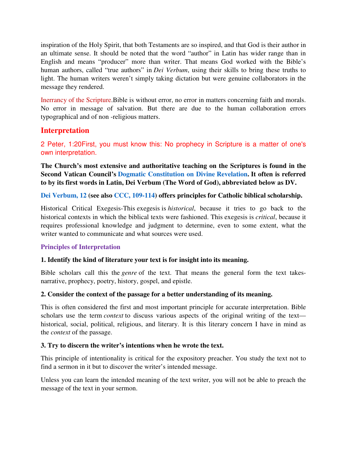inspiration of the Holy Spirit, that both Testaments are so inspired, and that God is their author in an ultimate sense. It should be noted that the word "author" in Latin has wider range than in English and means "producer" more than writer. That means God worked with the Bible's human authors, called "true authors" in *Dei Verbum*, using their skills to bring these truths to light. The human writers weren't simply taking dictation but were genuine collaborators in the message they rendered.

Inerrancy of the Scripture.Bible is without error, no error in matters concerning faith and morals. No error in message of salvation. But there are due to the human collaboration errors typographical and of non -religious matters.

### **Interpretation**

2 Peter, 1:20First, you must know this: No prophecy in Scripture is a matter of one's own interpretation.

**The Church's most extensive and authoritative teaching on the Scriptures is found in the Second Vatican Council's Dogmatic Constitution on Divine Revelation. It often is referred to by its first words in Latin, Dei Verbum (The Word of God), abbreviated below as DV.** 

#### **Dei Verbum, 12 (see also CCC, 109-114) offers principles for Catholic biblical scholarship.**

Historical Critical Exegesis-This exegesis is *historical*, because it tries to go back to the historical contexts in which the biblical texts were fashioned. This exegesis is *critical*, because it requires professional knowledge and judgment to determine, even to some extent, what the writer wanted to communicate and what sources were used.

#### **Principles of Interpretation**

#### **1. Identify the kind of literature your text is for insight into its meaning.**

Bible scholars call this the *genre* of the text. That means the general form the text takesnarrative, prophecy, poetry, history, gospel, and epistle.

#### **2. Consider the context of the passage for a better understanding of its meaning.**

This is often considered the first and most important principle for accurate interpretation. Bible scholars use the term *context* to discuss various aspects of the original writing of the text historical, social, political, religious, and literary. It is this literary concern I have in mind as the *context* of the passage.

#### **3. Try to discern the writer's intentions when he wrote the text.**

This principle of intentionality is critical for the expository preacher. You study the text not to find a sermon in it but to discover the writer's intended message.

Unless you can learn the intended meaning of the text writer, you will not be able to preach the message of the text in your sermon.